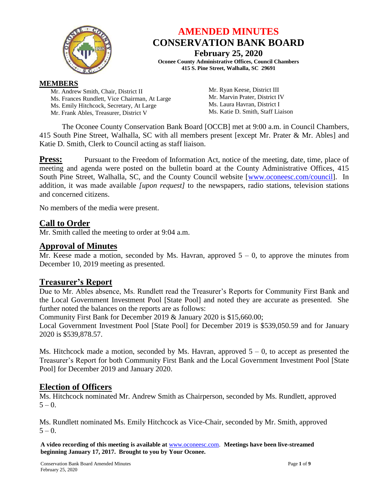

# **AMENDED MINUTES CONSERVATION BANK BOARD**

**February 25, 2020 Oconee County Administrative Offices, Council Chambers 415 S. Pine Street, Walhalla, SC 29691**

# **MEMBERS**

Mr. Andrew Smith, Chair, District II Ms. Frances Rundlett, Vice Chairman, At Large Ms. Emily Hitchcock, Secretary, At Large Mr. Frank Ables, Treasurer, District V

Mr. Ryan Keese, District III Mr. Marvin Prater, District IV Ms. Laura Havran, District I Ms. Katie D. Smith, Staff Liaison

The Oconee County Conservation Bank Board [OCCB] met at 9:00 a.m. in Council Chambers, 415 South Pine Street, Walhalla, SC with all members present [except Mr. Prater & Mr. Ables] and Katie D. Smith, Clerk to Council acting as staff liaison.

**Press:** Pursuant to the Freedom of Information Act, notice of the meeting, date, time, place of meeting and agenda were posted on the bulletin board at the County Administrative Offices, 415 South Pine Street, Walhalla, SC, and the County Council website [\[www.oconeesc.com/council\]](http://www.oconeesc.com/council). In addition, it was made available *[upon request]* to the newspapers, radio stations, television stations and concerned citizens.

No members of the media were present.

# **Call to Order**

Mr. Smith called the meeting to order at 9:04 a.m.

# **Approval of Minutes**

Mr. Keese made a motion, seconded by Ms. Havran, approved  $5 - 0$ , to approve the minutes from December 10, 2019 meeting as presented.

# **Treasurer's Report**

Due to Mr. Ables absence, Ms. Rundlett read the Treasurer's Reports for Community First Bank and the Local Government Investment Pool [State Pool] and noted they are accurate as presented. She further noted the balances on the reports are as follows:

Community First Bank for December 2019 & January 2020 is \$15,660.00;

Local Government Investment Pool [State Pool] for December 2019 is \$539,050.59 and for January 2020 is \$539,878.57.

Ms. Hitchcock made a motion, seconded by Ms. Havran, approved  $5 - 0$ , to accept as presented the Treasurer's Report for both Community First Bank and the Local Government Investment Pool [State Pool] for December 2019 and January 2020.

# **Election of Officers**

Ms. Hitchcock nominated Mr. Andrew Smith as Chairperson, seconded by Ms. Rundlett, approved  $5 - 0.$ 

Ms. Rundlett nominated Ms. Emily Hitchcock as Vice-Chair, seconded by Mr. Smith, approved  $5 - 0.$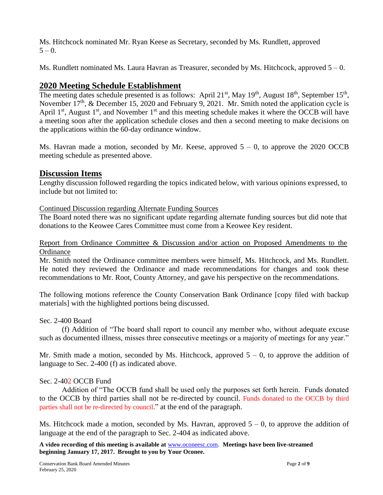Ms. Hitchcock nominated Mr. Ryan Keese as Secretary, seconded by Ms. Rundlett, approved  $5 - 0.$ 

Ms. Rundlett nominated Ms. Laura Havran as Treasurer, seconded by Ms. Hitchcock, approved  $5-0$ .

# **2020 Meeting Schedule Establishment**

The meeting dates schedule presented is as follows: April 21<sup>st</sup>, May 19<sup>th</sup>, August 18<sup>th</sup>, September 15<sup>th</sup>, November  $17<sup>th</sup>$ , & December 15, 2020 and February 9, 2021. Mr. Smith noted the application cycle is April 1<sup>st</sup>, August 1<sup>st</sup>, and November 1<sup>st</sup> and this meeting schedule makes it where the OCCB will have a meeting soon after the application schedule closes and then a second meeting to make decisions on the applications within the 60-day ordinance window.

Ms. Havran made a motion, seconded by Mr. Keese, approved  $5 - 0$ , to approve the 2020 OCCB meeting schedule as presented above.

# **Discussion Items**

Lengthy discussion followed regarding the topics indicated below, with various opinions expressed, to include but not limited to:

#### Continued Discussion regarding Alternate Funding Sources

The Board noted there was no significant update regarding alternate funding sources but did note that donations to the Keowee Cares Committee must come from a Keowee Key resident.

#### Report from Ordinance Committee & Discussion and/or action on Proposed Amendments to the **Ordinance**

Mr. Smith noted the Ordinance committee members were himself, Ms. Hitchcock, and Ms. Rundlett. He noted they reviewed the Ordinance and made recommendations for changes and took these recommendations to Mr. Root, County Attorney, and gave his perspective on the recommendations.

The following motions reference the County Conservation Bank Ordinance [copy filed with backup materials] with the highlighted portions being discussed.

#### Sec. 2-400 Board

(f) Addition of "The board shall report to council any member who, without adequate excuse such as documented illness, misses three consecutive meetings or a majority of meetings for any year."

Mr. Smith made a motion, seconded by Ms. Hitchcock, approved  $5 - 0$ , to approve the addition of language to Sec. 2-400 (f) as indicated above.

# Sec. 2-402 OCCB Fund

Addition of "The OCCB fund shall be used only the purposes set forth herein. Funds donated to the OCCB by third parties shall not be re-directed by council. Funds donated to the OCCB by third parties shall not be re-directed by council." at the end of the paragraph.

Ms. Hitchcock made a motion, seconded by Ms. Havran, approved  $5 - 0$ , to approve the addition of language at the end of the paragraph to Sec. 2-404 as indicated above.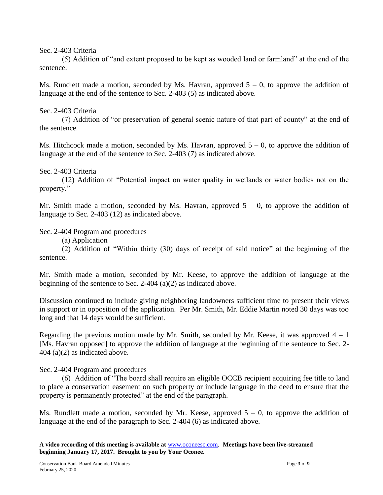#### Sec. 2-403 Criteria

(5) Addition of "and extent proposed to be kept as wooded land or farmland" at the end of the sentence.

Ms. Rundlett made a motion, seconded by Ms. Havran, approved  $5 - 0$ , to approve the addition of language at the end of the sentence to Sec. 2-403 (5) as indicated above.

#### Sec. 2-403 Criteria

(7) Addition of "or preservation of general scenic nature of that part of county" at the end of the sentence.

Ms. Hitchcock made a motion, seconded by Ms. Havran, approved  $5 - 0$ , to approve the addition of language at the end of the sentence to Sec. 2-403 (7) as indicated above.

#### Sec. 2-403 Criteria

(12) Addition of "Potential impact on water quality in wetlands or water bodies not on the property."

Mr. Smith made a motion, seconded by Ms. Havran, approved  $5 - 0$ , to approve the addition of language to Sec. 2-403 (12) as indicated above.

Sec. 2-404 Program and procedures

(a) Application

(2) Addition of "Within thirty (30) days of receipt of said notice" at the beginning of the sentence.

Mr. Smith made a motion, seconded by Mr. Keese, to approve the addition of language at the beginning of the sentence to Sec. 2-404 (a)(2) as indicated above.

Discussion continued to include giving neighboring landowners sufficient time to present their views in support or in opposition of the application. Per Mr. Smith, Mr. Eddie Martin noted 30 days was too long and that 14 days would be sufficient.

Regarding the previous motion made by Mr. Smith, seconded by Mr. Keese, it was approved  $4 - 1$ [Ms. Havran opposed] to approve the addition of language at the beginning of the sentence to Sec. 2- 404 (a)(2) as indicated above.

Sec. 2-404 Program and procedures

(6) Addition of "The board shall require an eligible OCCB recipient acquiring fee title to land to place a conservation easement on such property or include language in the deed to ensure that the property is permanently protected" at the end of the paragraph.

Ms. Rundlett made a motion, seconded by Mr. Keese, approved  $5 - 0$ , to approve the addition of language at the end of the paragraph to Sec. 2-404 (6) as indicated above.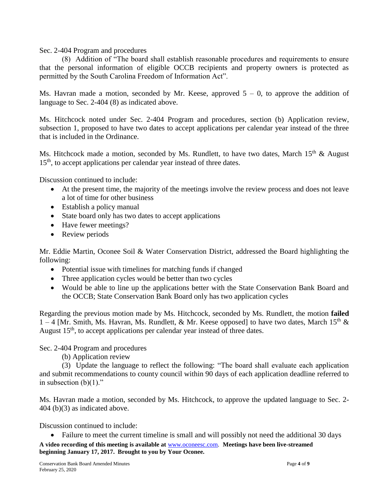Sec. 2-404 Program and procedures

(8) Addition of "The board shall establish reasonable procedures and requirements to ensure that the personal information of eligible OCCB recipients and property owners is protected as permitted by the South Carolina Freedom of Information Act".

Ms. Havran made a motion, seconded by Mr. Keese, approved  $5 - 0$ , to approve the addition of language to Sec. 2-404 (8) as indicated above.

Ms. Hitchcock noted under Sec. 2-404 Program and procedures, section (b) Application review, subsection 1, proposed to have two dates to accept applications per calendar year instead of the three that is included in the Ordinance.

Ms. Hitchcock made a motion, seconded by Ms. Rundlett, to have two dates, March  $15<sup>th</sup>$  & August 15<sup>th</sup>, to accept applications per calendar year instead of three dates.

Discussion continued to include:

- At the present time, the majority of the meetings involve the review process and does not leave a lot of time for other business
- Establish a policy manual
- State board only has two dates to accept applications
- Have fewer meetings?
- Review periods

Mr. Eddie Martin, Oconee Soil & Water Conservation District, addressed the Board highlighting the following:

- Potential issue with timelines for matching funds if changed
- Three application cycles would be better than two cycles
- Would be able to line up the applications better with the State Conservation Bank Board and the OCCB; State Conservation Bank Board only has two application cycles

Regarding the previous motion made by Ms. Hitchcock, seconded by Ms. Rundlett, the motion **failed** 1 – 4 [Mr. Smith, Ms. Havran, Ms. Rundlett, & Mr. Keese opposed] to have two dates, March 15<sup>th</sup> & August  $15<sup>th</sup>$ , to accept applications per calendar year instead of three dates.

Sec. 2-404 Program and procedures

(b) Application review

(3) Update the language to reflect the following: "The board shall evaluate each application and submit recommendations to county council within 90 days of each application deadline referred to in subsection  $(b)(1)$ ."

Ms. Havran made a motion, seconded by Ms. Hitchcock, to approve the updated language to Sec. 2- 404 (b)(3) as indicated above.

Discussion continued to include:

• Failure to meet the current timeline is small and will possibly not need the additional 30 days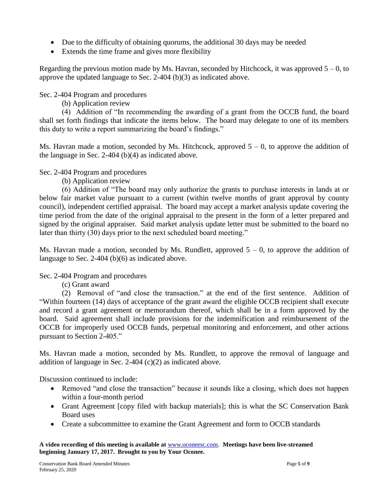- Due to the difficulty of obtaining quorums, the additional 30 days may be needed
- Extends the time frame and gives more flexibility

Regarding the previous motion made by Ms. Havran, seconded by Hitchcock, it was approved  $5 - 0$ , to approve the updated language to Sec. 2-404 (b)(3) as indicated above.

Sec. 2-404 Program and procedures

(b) Application review

(4) Addition of "In recommending the awarding of a grant from the OCCB fund, the board shall set forth findings that indicate the items below. The board may delegate to one of its members this duty to write a report summarizing the board's findings."

Ms. Havran made a motion, seconded by Ms. Hitchcock, approved  $5 - 0$ , to approve the addition of the language in Sec. 2-404 (b)(4) as indicated above.

Sec. 2-404 Program and procedures

(b) Application review

(6) Addition of "The board may only authorize the grants to purchase interests in lands at or below fair market value pursuant to a current (within twelve months of grant approval by county council), independent certified appraisal. The board may accept a market analysis update covering the time period from the date of the original appraisal to the present in the form of a letter prepared and signed by the original appraiser. Said market analysis update letter must be submitted to the board no later than thirty (30) days prior to the next scheduled board meeting."

Ms. Havran made a motion, seconded by Ms. Rundlett, approved  $5 - 0$ , to approve the addition of language to Sec. 2-404 (b)(6) as indicated above.

Sec. 2-404 Program and procedures

(c) Grant award

(2) Removal of "and close the transaction." at the end of the first sentence. Addition of "Within fourteen (14) days of acceptance of the grant award the eligible OCCB recipient shall execute and record a grant agreement or memorandum thereof, which shall be in a form approved by the board. Said agreement shall include provisions for the indemnification and reimbursement of the OCCB for improperly used OCCB funds, perpetual monitoring and enforcement, and other actions pursuant to Section 2-405."

Ms. Havran made a motion, seconded by Ms. Rundlett, to approve the removal of language and addition of language in Sec. 2-404 (c)(2) as indicated above.

Discussion continued to include:

- Removed "and close the transaction" because it sounds like a closing, which does not happen within a four-month period
- Grant Agreement [copy filed with backup materials]; this is what the SC Conservation Bank Board uses
- Create a subcommittee to examine the Grant Agreement and form to OCCB standards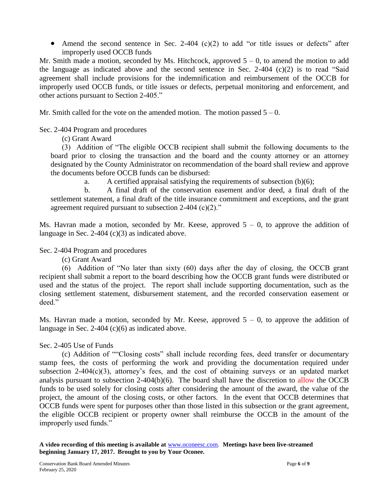• Amend the second sentence in Sec. 2-404 (c)(2) to add "or title issues or defects" after improperly used OCCB funds

Mr. Smith made a motion, seconded by Ms. Hitchcock, approved  $5 - 0$ , to amend the motion to add the language as indicated above and the second sentence in Sec. 2-404 (c)(2) is to read "Said agreement shall include provisions for the indemnification and reimbursement of the OCCB for improperly used OCCB funds, or title issues or defects, perpetual monitoring and enforcement, and other actions pursuant to Section 2-405."

Mr. Smith called for the vote on the amended motion. The motion passed  $5 - 0$ .

Sec. 2-404 Program and procedures

(c) Grant Award

(3) Addition of "The eligible OCCB recipient shall submit the following documents to the board prior to closing the transaction and the board and the county attorney or an attorney designated by the County Administrator on recommendation of the board shall review and approve the documents before OCCB funds can be disbursed:

a. A certified appraisal satisfying the requirements of subsection (b)(6);

b. A final draft of the conservation easement and/or deed, a final draft of the settlement statement, a final draft of the title insurance commitment and exceptions, and the grant agreement required pursuant to subsection  $2-404$  (c)(2)."

Ms. Havran made a motion, seconded by Mr. Keese, approved  $5 - 0$ , to approve the addition of language in Sec. 2-404 (c)(3) as indicated above.

Sec. 2-404 Program and procedures

(c) Grant Award

(6) Addition of "No later than sixty (60) days after the day of closing, the OCCB grant recipient shall submit a report to the board describing how the OCCB grant funds were distributed or used and the status of the project. The report shall include supporting documentation, such as the closing settlement statement, disbursement statement, and the recorded conservation easement or deed."

Ms. Havran made a motion, seconded by Mr. Keese, approved  $5 - 0$ , to approve the addition of language in Sec. 2-404 (c)(6) as indicated above.

Sec. 2-405 Use of Funds

(c) Addition of ""Closing costs" shall include recording fees, deed transfer or documentary stamp fees, the costs of performing the work and providing the documentation required under subsection 2-404(c)(3), attorney's fees, and the cost of obtaining surveys or an updated market analysis pursuant to subsection  $2-404(b)(6)$ . The board shall have the discretion to allow the OCCB funds to be used solely for closing costs after considering the amount of the award, the value of the project, the amount of the closing costs, or other factors. In the event that OCCB determines that OCCB funds were spent for purposes other than those listed in this subsection or the grant agreement, the eligible OCCB recipient or property owner shall reimburse the OCCB in the amount of the improperly used funds."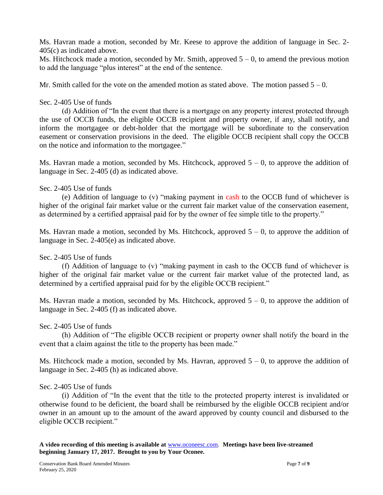Ms. Havran made a motion, seconded by Mr. Keese to approve the addition of language in Sec. 2- 405(c) as indicated above.

Ms. Hitchcock made a motion, seconded by Mr. Smith, approved  $5 - 0$ , to amend the previous motion to add the language "plus interest" at the end of the sentence.

Mr. Smith called for the vote on the amended motion as stated above. The motion passed  $5 - 0$ .

#### Sec. 2-405 Use of funds

(d) Addition of "In the event that there is a mortgage on any property interest protected through the use of OCCB funds, the eligible OCCB recipient and property owner, if any, shall notify, and inform the mortgagee or debt-holder that the mortgage will be subordinate to the conservation easement or conservation provisions in the deed. The eligible OCCB recipient shall copy the OCCB on the notice and information to the mortgagee."

Ms. Havran made a motion, seconded by Ms. Hitchcock, approved  $5 - 0$ , to approve the addition of language in Sec. 2-405 (d) as indicated above.

#### Sec. 2-405 Use of funds

(e) Addition of language to (v) "making payment in cash to the OCCB fund of whichever is higher of the original fair market value or the current fair market value of the conservation easement, as determined by a certified appraisal paid for by the owner of fee simple title to the property."

Ms. Havran made a motion, seconded by Ms. Hitchcock, approved  $5 - 0$ , to approve the addition of language in Sec. 2-405(e) as indicated above.

# Sec. 2-405 Use of funds

(f) Addition of language to (v) "making payment in cash to the OCCB fund of whichever is higher of the original fair market value or the current fair market value of the protected land, as determined by a certified appraisal paid for by the eligible OCCB recipient."

Ms. Havran made a motion, seconded by Ms. Hitchcock, approved  $5 - 0$ , to approve the addition of language in Sec. 2-405 (f) as indicated above.

#### Sec. 2-405 Use of funds

(h) Addition of "The eligible OCCB recipient or property owner shall notify the board in the event that a claim against the title to the property has been made."

Ms. Hitchcock made a motion, seconded by Ms. Havran, approved  $5 - 0$ , to approve the addition of language in Sec. 2-405 (h) as indicated above.

#### Sec. 2-405 Use of funds

(i) Addition of "In the event that the title to the protected property interest is invalidated or otherwise found to be deficient, the board shall be reimbursed by the eligible OCCB recipient and/or owner in an amount up to the amount of the award approved by county council and disbursed to the eligible OCCB recipient."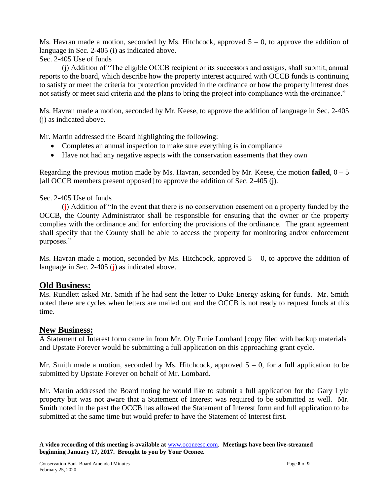Ms. Havran made a motion, seconded by Ms. Hitchcock, approved  $5 - 0$ , to approve the addition of language in Sec. 2-405 (i) as indicated above.

Sec. 2-405 Use of funds

(j) Addition of "The eligible OCCB recipient or its successors and assigns, shall submit, annual reports to the board, which describe how the property interest acquired with OCCB funds is continuing to satisfy or meet the criteria for protection provided in the ordinance or how the property interest does not satisfy or meet said criteria and the plans to bring the project into compliance with the ordinance."

Ms. Havran made a motion, seconded by Mr. Keese, to approve the addition of language in Sec. 2-405 (j) as indicated above.

Mr. Martin addressed the Board highlighting the following:

- Completes an annual inspection to make sure everything is in compliance
- Have not had any negative aspects with the conservation easements that they own

Regarding the previous motion made by Ms. Havran, seconded by Mr. Keese, the motion **failed**,  $0 - 5$ [all OCCB members present opposed] to approve the addition of Sec. 2-405 (j).

#### Sec. 2-405 Use of funds

(j) Addition of "In the event that there is no conservation easement on a property funded by the OCCB, the County Administrator shall be responsible for ensuring that the owner or the property complies with the ordinance and for enforcing the provisions of the ordinance. The grant agreement shall specify that the County shall be able to access the property for monitoring and/or enforcement purposes."

Ms. Havran made a motion, seconded by Ms. Hitchcock, approved  $5 - 0$ , to approve the addition of language in Sec. 2-405 (j) as indicated above.

# **Old Business:**

Ms. Rundlett asked Mr. Smith if he had sent the letter to Duke Energy asking for funds. Mr. Smith noted there are cycles when letters are mailed out and the OCCB is not ready to request funds at this time.

# **New Business:**

A Statement of Interest form came in from Mr. Oly Ernie Lombard [copy filed with backup materials] and Upstate Forever would be submitting a full application on this approaching grant cycle.

Mr. Smith made a motion, seconded by Ms. Hitchcock, approved  $5 - 0$ , for a full application to be submitted by Upstate Forever on behalf of Mr. Lombard.

Mr. Martin addressed the Board noting he would like to submit a full application for the Gary Lyle property but was not aware that a Statement of Interest was required to be submitted as well. Mr. Smith noted in the past the OCCB has allowed the Statement of Interest form and full application to be submitted at the same time but would prefer to have the Statement of Interest first.